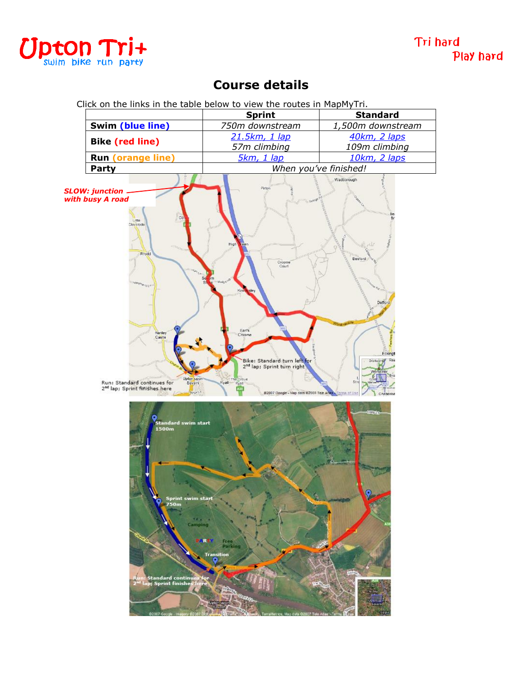

## **Course details**